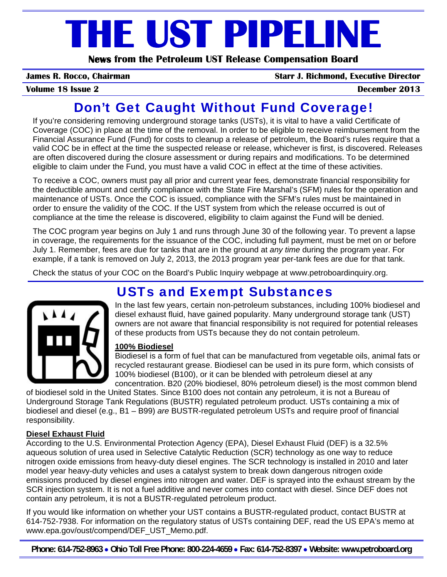# **THE UST PIPELINE**

**News from the Petroleum UST Release Compensation Board** 

**James R. Rocco, Chairman Starr J. Richmond, Executive Director**

**Volume 18 Issue 2 December 2013**

## Don't Get Caught Without Fund Coverage!

If you're considering removing underground storage tanks (USTs), it is vital to have a valid Certificate of Coverage (COC) in place at the time of the removal. In order to be eligible to receive reimbursement from the Financial Assurance Fund (Fund) for costs to cleanup a release of petroleum, the Board's rules require that a valid COC be in effect at the time the suspected release or release, whichever is first, is discovered. Releases are often discovered during the closure assessment or during repairs and modifications. To be determined eligible to claim under the Fund, you must have a valid COC in effect at the time of these activities.

To receive a COC, owners must pay all prior and current year fees, demonstrate financial responsibility for the deductible amount and certify compliance with the State Fire Marshal's (SFM) rules for the operation and maintenance of USTs. Once the COC is issued, compliance with the SFM's rules must be maintained in order to ensure the validity of the COC. If the UST system from which the release occurred is out of compliance at the time the release is discovered, eligibility to claim against the Fund will be denied.

The COC program year begins on July 1 and runs through June 30 of the following year. To prevent a lapse in coverage, the requirements for the issuance of the COC, including full payment, must be met on or before July 1. Remember, fees are due for tanks that are in the ground at *any time* during the program year. For example, if a tank is removed on July 2, 2013, the 2013 program year per-tank fees are due for that tank.

Check the status of your COC on the Board's Public Inquiry webpage at www.petroboardinquiry.org.

## USTs and Exempt Substances



In the last few years, certain non-petroleum substances, including 100% biodiesel and diesel exhaust fluid, have gained popularity. Many underground storage tank (UST) owners are not aware that financial responsibility is not required for potential releases of these products from USTs because they do not contain petroleum.

#### **100% Biodiesel**

Biodiesel is a form of fuel that can be manufactured from vegetable oils, animal fats or recycled restaurant grease. Biodiesel can be used in its pure form, which consists of 100% biodiesel (B100), or it can be blended with petroleum diesel at any concentration. B20 (20% biodiesel, 80% petroleum diesel) is the most common blend

of biodiesel sold in the United States. Since B100 does not contain any petroleum, it is not a Bureau of Underground Storage Tank Regulations (BUSTR) regulated petroleum product. USTs containing a mix of biodiesel and diesel (e.g., B1 – B99) *are* BUSTR-regulated petroleum USTs and require proof of financial responsibility.

#### **Diesel Exhaust Fluid**

According to the U.S. Environmental Protection Agency (EPA), Diesel Exhaust Fluid (DEF) is a 32.5% aqueous solution of urea used in Selective Catalytic Reduction (SCR) technology as one way to reduce nitrogen oxide emissions from heavy-duty diesel engines. The SCR technology is installed in 2010 and later model year heavy-duty vehicles and uses a catalyst system to break down dangerous nitrogen oxide emissions produced by diesel engines into nitrogen and water. DEF is sprayed into the exhaust stream by the SCR injection system. It is not a fuel additive and never comes into contact with diesel. Since DEF does not contain any petroleum, it is not a BUSTR-regulated petroleum product.

If you would like information on whether your UST contains a BUSTR-regulated product, contact BUSTR at 614-752-7938. For information on the regulatory status of USTs containing DEF, read the US EPA's memo at www.epa.gov/oust/compend/DEF\_UST\_Memo.pdf.

**Phone: 614-752-8963** • **Ohio Toll Free Phone: 800-224-4659** • **Fax: 614-752-8397** • **Website: www.petroboard.org**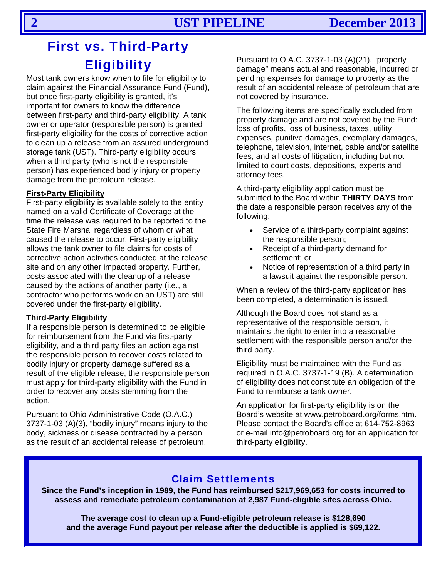## First vs. Third-Party **Eligibility**

Most tank owners know when to file for eligibility to claim against the Financial Assurance Fund (Fund), but once first-party eligibility is granted, it's important for owners to know the difference between first-party and third-party eligibility. A tank owner or operator (responsible person) is granted first-party eligibility for the costs of corrective action to clean up a release from an assured underground storage tank (UST). Third-party eligibility occurs when a third party (who is not the responsible person) has experienced bodily injury or property damage from the petroleum release.

#### **First-Party Eligibility**

First-party eligibility is available solely to the entity named on a valid Certificate of Coverage at the time the release was required to be reported to the State Fire Marshal regardless of whom or what caused the release to occur. First-party eligibility allows the tank owner to file claims for costs of corrective action activities conducted at the release site and on any other impacted property. Further, costs associated with the cleanup of a release caused by the actions of another party (i.e., a contractor who performs work on an UST) are still covered under the first-party eligibility.

#### **Third-Party Eligibility**

If a responsible person is determined to be eligible for reimbursement from the Fund via first-party eligibility, and a third party files an action against the responsible person to recover costs related to bodily injury or property damage suffered as a result of the eligible release, the responsible person must apply for third-party eligibility with the Fund in order to recover any costs stemming from the action.

Pursuant to Ohio Administrative Code (O.A.C.) 3737-1-03 (A)(3), "bodily injury" means injury to the body, sickness or disease contracted by a person as the result of an accidental release of petroleum.

Pursuant to O.A.C. 3737-1-03 (A)(21), "property damage" means actual and reasonable, incurred or pending expenses for damage to property as the result of an accidental release of petroleum that are not covered by insurance.

The following items are specifically excluded from property damage and are not covered by the Fund: loss of profits, loss of business, taxes, utility expenses, punitive damages, exemplary damages, telephone, television, internet, cable and/or satellite fees, and all costs of litigation, including but not limited to court costs, depositions, experts and attorney fees.

A third-party eligibility application must be submitted to the Board within **THIRTY DAYS** from the date a responsible person receives any of the following:

- Service of a third-party complaint against the responsible person;
- Receipt of a third-party demand for settlement; or
- Notice of representation of a third party in a lawsuit against the responsible person.

When a review of the third-party application has been completed, a determination is issued.

Although the Board does not stand as a representative of the responsible person, it maintains the right to enter into a reasonable settlement with the responsible person and/or the third party.

Eligibility must be maintained with the Fund as required in O.A.C. 3737-1-19 (B). A determination of eligibility does not constitute an obligation of the Fund to reimburse a tank owner.

An application for first-party eligibility is on the Board's website at www.petroboard.org/forms.htm. Please contact the Board's office at 614-752-8963 or e-mail info@petroboard.org for an application for third-party eligibility.

### Claim Settlements

**Since the Fund's inception in 1989, the Fund has reimbursed \$217,969,653 for costs incurred to assess and remediate petroleum contamination at 2,987 Fund-eligible sites across Ohio.** 

**The average cost to clean up a Fund-eligible petroleum release is \$128,690 and the average Fund payout per release after the deductible is applied is \$69,122.**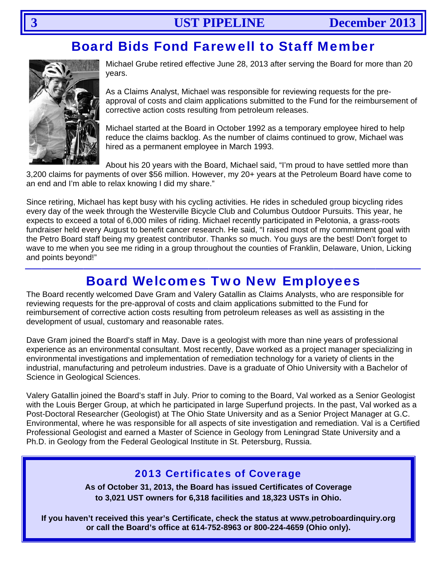## **Board Bids Fond Farewell to Staff Member**



Michael Grube retired effective June 28, 2013 after serving the Board for more than 20 vears.

As a Claims Analyst, Michael was responsible for reviewing requests for the preapproval of costs and claim applications submitted to the Fund for the reimbursement of corrective action costs resulting from petroleum releases.

Michael started at the Board in October 1992 as a temporary employee hired to help reduce the claims backlog. As the number of claims continued to grow, Michael was hired as a permanent employee in March 1993.

About his 20 years with the Board, Michael said, "I'm proud to have settled more than 3,200 claims for payments of over \$56 million. However, my 20+ years at the Petroleum Board have come to an end and I'm able to relax knowing I did my share."

Since retiring, Michael has kept busy with his cycling activities. He rides in scheduled group bicycling rides every day of the week through the Westerville Bicycle Club and Columbus Outdoor Pursuits. This year, he expects to exceed a total of 6,000 miles of riding. Michael recently participated in Pelotonia, a grass-roots fundraiser held every August to benefit cancer research. He said, "I raised most of my commitment goal with the Petro Board staff being my greatest contributor. Thanks so much. You guys are the best! Don't forget to wave to me when you see me riding in a group throughout the counties of Franklin, Delaware, Union, Licking and points bevond!"

## **Board Welcomes Two New Employees**

The Board recently welcomed Dave Gram and Valery Gatallin as Claims Analysts, who are responsible for reviewing requests for the pre-approval of costs and claim applications submitted to the Fund for reimbursement of corrective action costs resulting from petroleum releases as well as assisting in the development of usual, customary and reasonable rates.

Dave Gram joined the Board's staff in May. Dave is a geologist with more than nine years of professional experience as an environmental consultant. Most recently, Dave worked as a project manager specializing in environmental investigations and implementation of remediation technology for a variety of clients in the industrial, manufacturing and petroleum industries. Dave is a graduate of Ohio University with a Bachelor of Science in Geological Sciences.

Valery Gatallin joined the Board's staff in July. Prior to coming to the Board, Val worked as a Senior Geologist with the Louis Berger Group, at which he participated in large Superfund projects. In the past, Val worked as a Post-Doctoral Researcher (Geologist) at The Ohio State University and as a Senior Project Manager at G.C. Environmental, where he was responsible for all aspects of site investigation and remediation. Val is a Certified Professional Geologist and earned a Master of Science in Geology from Leningrad State University and a Ph.D. in Geology from the Federal Geological Institute in St. Petersburg, Russia.

### **2013 Certificates of Coverage**

As of October 31, 2013, the Board has issued Certificates of Coverage to 3.021 UST owners for 6.318 facilities and 18.323 USTs in Ohio.

If you haven't received this year's Certificate, check the status at www.petroboardinguiry.org or call the Board's office at 614-752-8963 or 800-224-4659 (Ohio only).